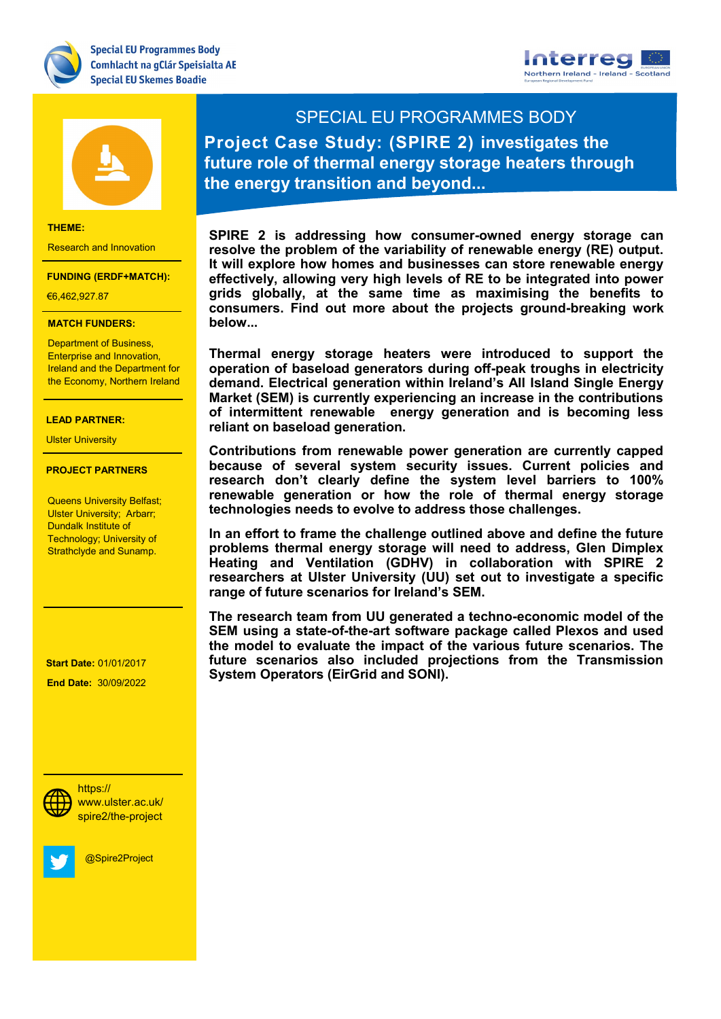





### **THEME:**

Research and Innovation

### **FUNDING (ERDF+MATCH):**

€6,462,927.87

### **MATCH FUNDERS:**

**Department of Business,** Ireland and the Department for Health & Life Sciences Enterprise and Innovation, the Economy, Northern Ireland

## Renewable Energy **LEAD PARTNER:**

Ulster University

# **PROJECT PARTNERS**

**Technology; University of Queens University Belfast;** Ulster University; Arbarr; Dundalk Institute of Strathclyde and Sunamp.

- Norther Ireland

- The South West

**PROJECT CONTACT: End Date:** 30/09/2022  **Start Date:** 01/01/2017



**Social Media:** www.ulster.ac.uk/ spire2/the-project



@Spire2Project

# SPECIAL EU PROGRAMMES BODY **Project Case Study: (SPIRE 2) investigates the future role of thermal energy storage heaters through the energy transition and beyond...**

**SPIRE 2 is addressing how consumer-owned energy storage can resolve the problem of the variability of renewable energy (RE) output. It will explore how homes and businesses can store renewable energy effectively, allowing very high levels of RE to be integrated into power grids globally, at the same time as maximising the benefits to consumers. Find out more about the projects ground-breaking work below...**

**Thermal energy storage heaters were introduced to support the operation of baseload generators during off-peak troughs in electricity demand. Electrical generation within Ireland's All Island Single Energy Market (SEM) is currently experiencing an increase in the contributions of intermittent renewable energy generation and is becoming less reliant on baseload generation.** 

**Contributions from renewable power generation are currently capped because of several system security issues. Current policies and research don't clearly define the system level barriers to 100% renewable generation or how the role of thermal energy storage technologies needs to evolve to address those challenges.** 

**In an effort to frame the challenge outlined above and define the future problems thermal energy storage will need to address, Glen Dimplex Heating and Ventilation (GDHV) in collaboration with SPIRE 2 researchers at Ulster University (UU) set out to investigate a specific range of future scenarios for Ireland's SEM.** 

**The research team from UU generated a techno-economic model of the SEM using a state-of-the-art software package called Plexos and used the model to evaluate the impact of the various future scenarios. The future scenarios also included projections from the Transmission System Operators (EirGrid and SONI).**